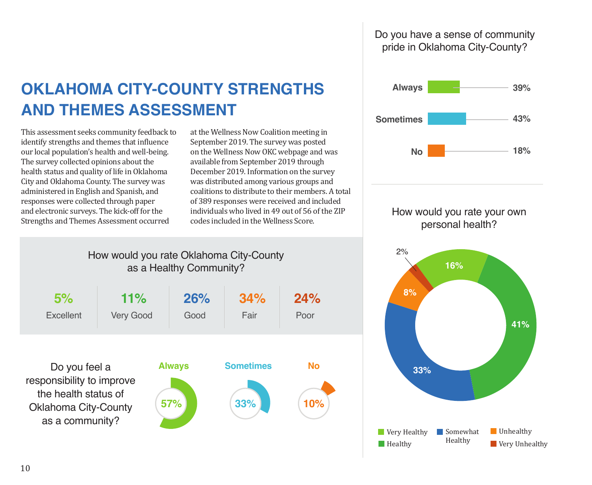# Do you have a sense of community pride in Oklahoma City-County?

# **OKLAHOMA CITY-COUNTY STRENGTHS AND THEMES ASSESSMENT**

This assessment seeks community feedback to identify strengths and themes that influence our local population's health and well-being. The survey collected opinions about the health status and quality of life in Oklahoma City and Oklahoma County. The survey was administered in English and Spanish, and responses were collected through paper and electronic surveys. The kick-off for the Strengths and Themes Assessment occurred

at the Wellness Now Coalition meeting in September 2019. The survey was posted on the Wellness Now OKC webpage and was available from September 2019 through December 2019. Information on the survey was distributed among various groups and coalitions to distribute to their members. A total of 389 responses were received and included individuals who lived in 49 out of 56 of the ZIP codes included in the Wellness Score.



## How would you rate your own personal health?



# How would you rate Oklahoma City-County as a Healthy Community?

| 5%                                                                                                                   | 11%              | 26%                         | 34%                     | 24%              |
|----------------------------------------------------------------------------------------------------------------------|------------------|-----------------------------|-------------------------|------------------|
| Excellent                                                                                                            | <b>Very Good</b> | Good                        | Fair                    | Poor             |
| Do you feel a<br>responsibility to improve<br>the health status of<br><b>Oklahoma City-County</b><br>as a community? |                  | <b>Always</b><br><b>57%</b> | <b>Sometimes</b><br>33% | <b>No</b><br>10% |